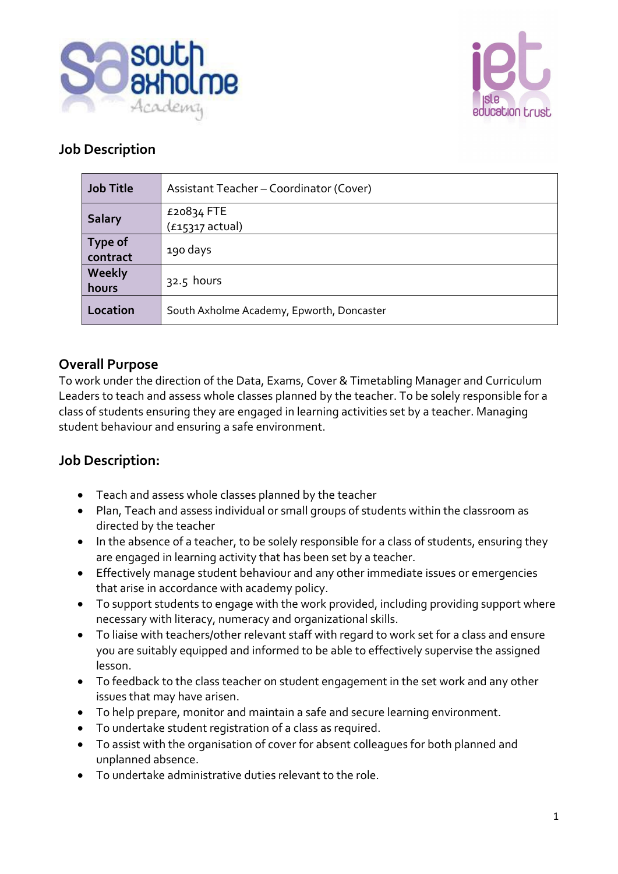



### **Job Description**

| <b>Job Title</b>           | Assistant Teacher - Coordinator (Cover)   |
|----------------------------|-------------------------------------------|
| <b>Salary</b>              | £20834 FTE<br>$(f15317 \text{ actual})$   |
| <b>Type of</b><br>contract | 190 days                                  |
| Weekly<br>hours            | $32.5$ hours                              |
| Location                   | South Axholme Academy, Epworth, Doncaster |

### **Overall Purpose**

To work under the direction of the Data, Exams, Cover & Timetabling Manager and Curriculum Leaders to teach and assess whole classes planned by the teacher. To be solely responsible for a class of students ensuring they are engaged in learning activities set by a teacher. Managing student behaviour and ensuring a safe environment.

### **Job Description:**

- Teach and assess whole classes planned by the teacher
- Plan, Teach and assess individual or small groups of students within the classroom as directed by the teacher
- In the absence of a teacher, to be solely responsible for a class of students, ensuring they are engaged in learning activity that has been set by a teacher.
- Effectively manage student behaviour and any other immediate issues or emergencies that arise in accordance with academy policy.
- To support students to engage with the work provided, including providing support where necessary with literacy, numeracy and organizational skills.
- To liaise with teachers/other relevant staff with regard to work set for a class and ensure you are suitably equipped and informed to be able to effectively supervise the assigned lesson.
- To feedback to the class teacher on student engagement in the set work and any other issues that may have arisen.
- To help prepare, monitor and maintain a safe and secure learning environment.
- To undertake student registration of a class as required.
- To assist with the organisation of cover for absent colleagues for both planned and unplanned absence.
- To undertake administrative duties relevant to the role.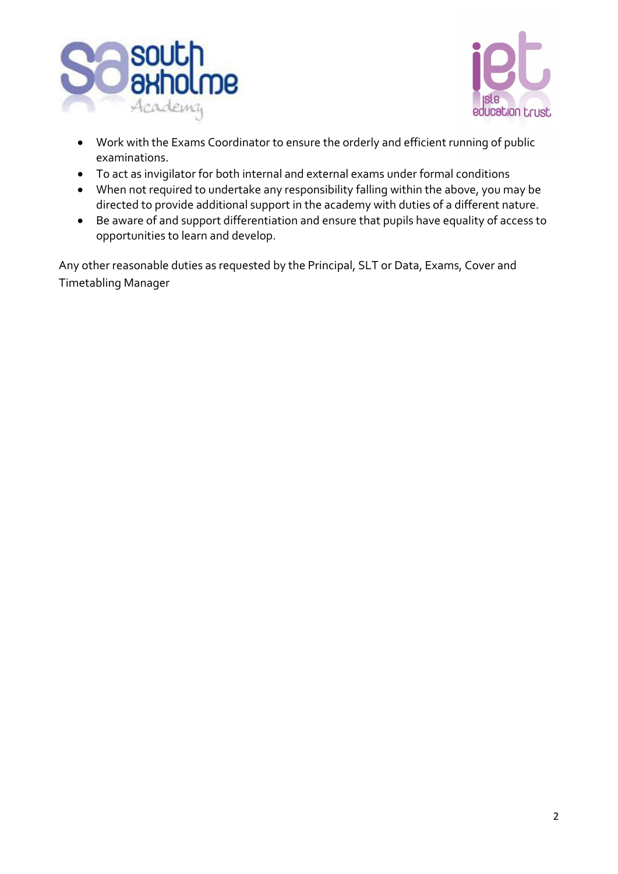



- Work with the Exams Coordinator to ensure the orderly and efficient running of public examinations.
- To act as invigilator for both internal and external exams under formal conditions
- When not required to undertake any responsibility falling within the above, you may be directed to provide additional support in the academy with duties of a different nature.
- Be aware of and support differentiation and ensure that pupils have equality of access to opportunities to learn and develop.

Any other reasonable duties as requested by the Principal, SLT or Data, Exams, Cover and Timetabling Manager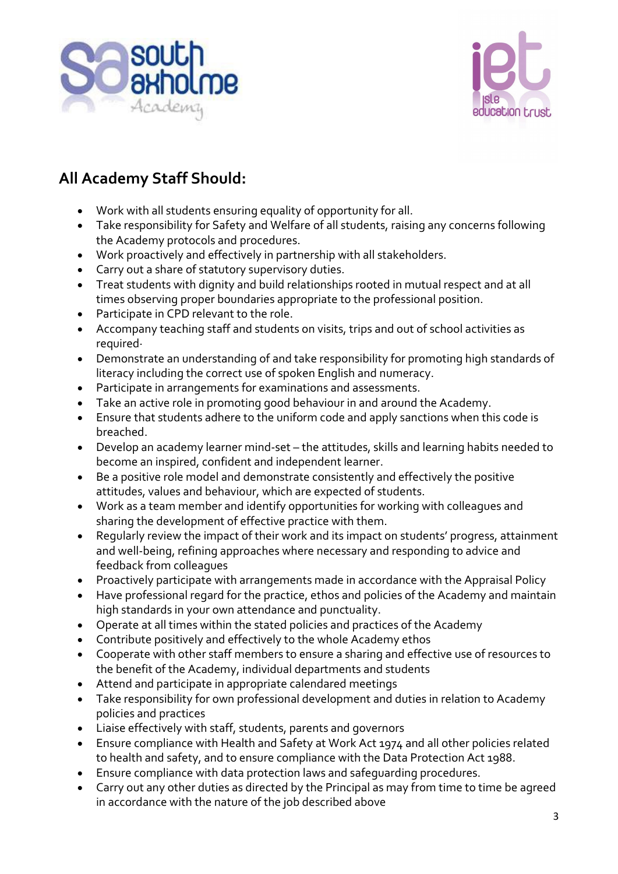



# **All Academy Staff Should:**

- Work with all students ensuring equality of opportunity for all.
- Take responsibility for Safety and Welfare of all students, raising any concerns following the Academy protocols and procedures.
- Work proactively and effectively in partnership with all stakeholders.
- Carry out a share of statutory supervisory duties.
- Treat students with dignity and build relationships rooted in mutual respect and at all times observing proper boundaries appropriate to the professional position.
- Participate in CPD relevant to the role.
- Accompany teaching staff and students on visits, trips and out of school activities as required·
- Demonstrate an understanding of and take responsibility for promoting high standards of literacy including the correct use of spoken English and numeracy.
- Participate in arrangements for examinations and assessments.
- Take an active role in promoting good behaviour in and around the Academy.
- Ensure that students adhere to the uniform code and apply sanctions when this code is breached.
- Develop an academy learner mind-set the attitudes, skills and learning habits needed to become an inspired, confident and independent learner.
- Be a positive role model and demonstrate consistently and effectively the positive attitudes, values and behaviour, which are expected of students.
- Work as a team member and identify opportunities for working with colleagues and sharing the development of effective practice with them.
- Regularly review the impact of their work and its impact on students' progress, attainment and well-being, refining approaches where necessary and responding to advice and feedback from colleagues
- Proactively participate with arrangements made in accordance with the Appraisal Policy
- Have professional regard for the practice, ethos and policies of the Academy and maintain high standards in your own attendance and punctuality.
- Operate at all times within the stated policies and practices of the Academy
- Contribute positively and effectively to the whole Academy ethos
- Cooperate with other staff members to ensure a sharing and effective use of resources to the benefit of the Academy, individual departments and students
- Attend and participate in appropriate calendared meetings
- Take responsibility for own professional development and duties in relation to Academy policies and practices
- Liaise effectively with staff, students, parents and governors
- Ensure compliance with Health and Safety at Work Act 1974 and all other policies related to health and safety, and to ensure compliance with the Data Protection Act 1988.
- Ensure compliance with data protection laws and safeguarding procedures.
- Carry out any other duties as directed by the Principal as may from time to time be agreed in accordance with the nature of the job described above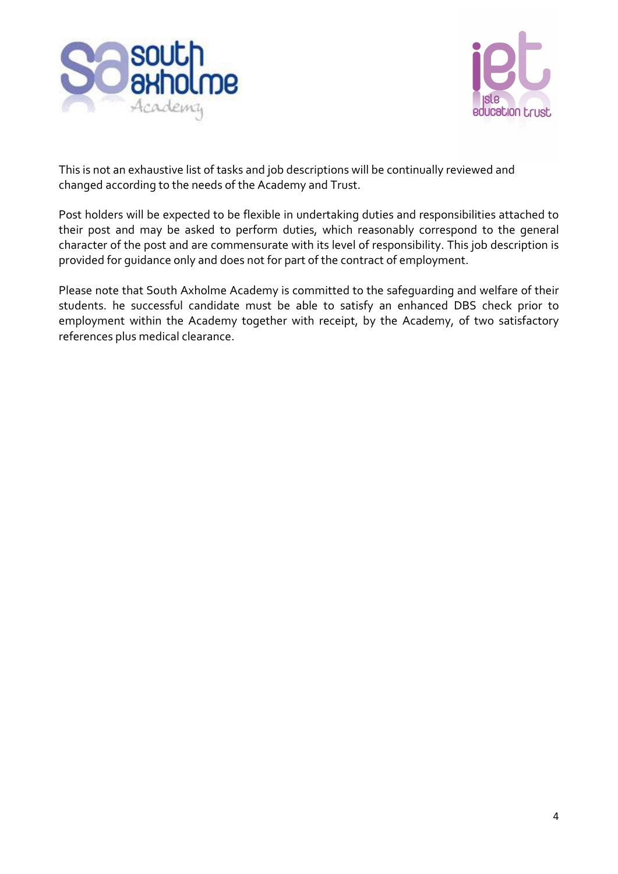



This is not an exhaustive list of tasks and job descriptions will be continually reviewed and changed according to the needs of the Academy and Trust.

Post holders will be expected to be flexible in undertaking duties and responsibilities attached to their post and may be asked to perform duties, which reasonably correspond to the general character of the post and are commensurate with its level of responsibility. This job description is provided for guidance only and does not for part of the contract of employment.

Please note that South Axholme Academy is committed to the safeguarding and welfare of their students. he successful candidate must be able to satisfy an enhanced DBS check prior to employment within the Academy together with receipt, by the Academy, of two satisfactory references plus medical clearance.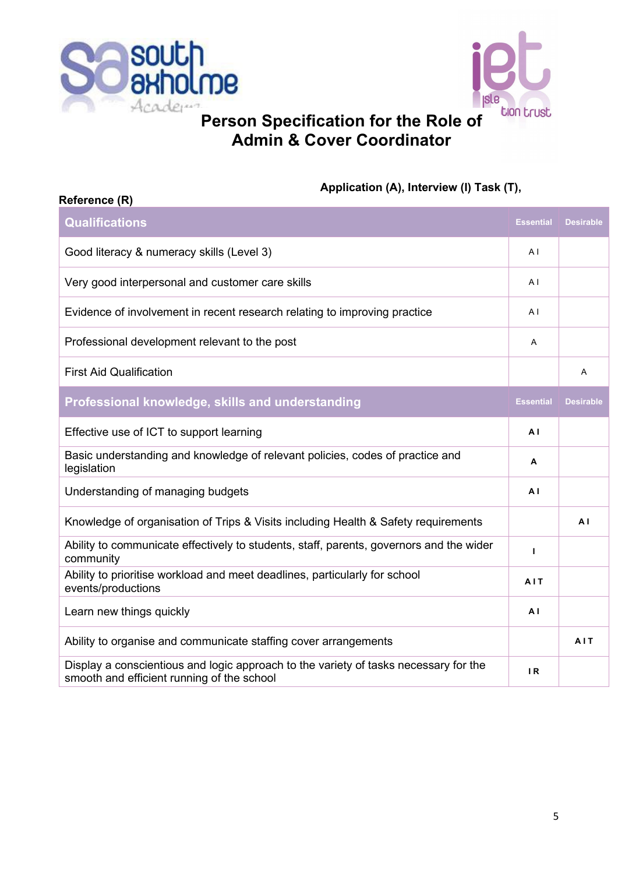

**Reference (R)**



## **Person Specification for the Role of Admin & Cover Coordinator**

#### **Application (A), Interview (I) Task (T),**

| <b>Qualifications</b>                                                                                                              | <b>Essential</b> | <b>Desirable</b> |
|------------------------------------------------------------------------------------------------------------------------------------|------------------|------------------|
| Good literacy & numeracy skills (Level 3)                                                                                          | AI               |                  |
| Very good interpersonal and customer care skills                                                                                   | A <sub>1</sub>   |                  |
| Evidence of involvement in recent research relating to improving practice                                                          | A <sub>1</sub>   |                  |
| Professional development relevant to the post                                                                                      | Α                |                  |
| <b>First Aid Qualification</b>                                                                                                     |                  | A                |
| Professional knowledge, skills and understanding                                                                                   | <b>Essential</b> | <b>Desirable</b> |
| Effective use of ICT to support learning                                                                                           | A <sub>1</sub>   |                  |
| Basic understanding and knowledge of relevant policies, codes of practice and<br>legislation                                       | А                |                  |
| Understanding of managing budgets                                                                                                  | A <sub>1</sub>   |                  |
| Knowledge of organisation of Trips & Visits including Health & Safety requirements                                                 |                  | A <sub>1</sub>   |
| Ability to communicate effectively to students, staff, parents, governors and the wider<br>community                               | $\mathbf{I}$     |                  |
| Ability to prioritise workload and meet deadlines, particularly for school<br>events/productions                                   | AIT              |                  |
| Learn new things quickly                                                                                                           | A <sub>1</sub>   |                  |
| Ability to organise and communicate staffing cover arrangements                                                                    |                  | AIT              |
| Display a conscientious and logic approach to the variety of tasks necessary for the<br>smooth and efficient running of the school | IR.              |                  |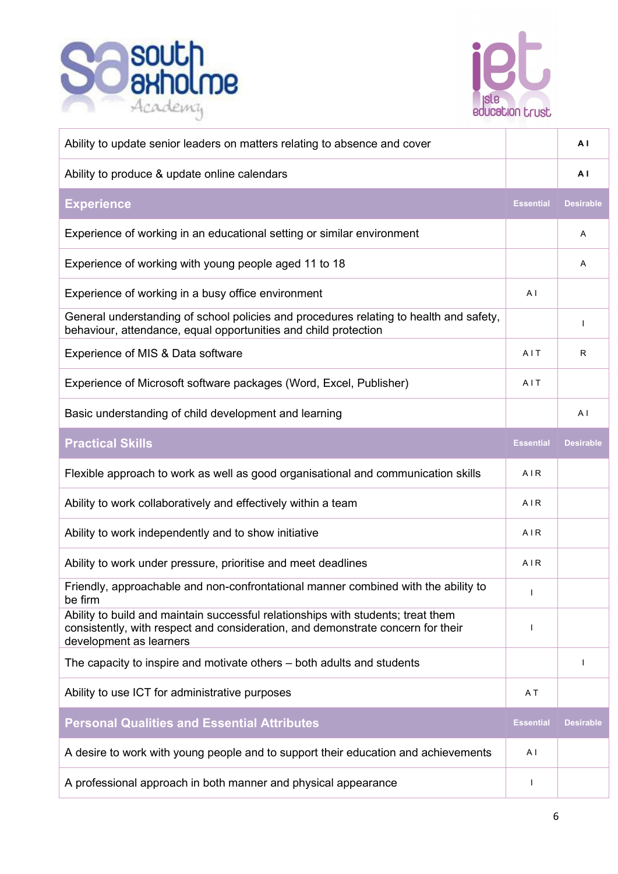



| Ability to update senior leaders on matters relating to absence and cover                                                                                                                      |                  | ΑI               |
|------------------------------------------------------------------------------------------------------------------------------------------------------------------------------------------------|------------------|------------------|
| Ability to produce & update online calendars                                                                                                                                                   |                  | A I              |
| <b>Experience</b>                                                                                                                                                                              | <b>Essential</b> | <b>Desirable</b> |
| Experience of working in an educational setting or similar environment                                                                                                                         |                  | A                |
| Experience of working with young people aged 11 to 18                                                                                                                                          |                  | Α                |
| Experience of working in a busy office environment                                                                                                                                             | A <sub>1</sub>   |                  |
| General understanding of school policies and procedures relating to health and safety,<br>behaviour, attendance, equal opportunities and child protection                                      |                  | -1               |
| Experience of MIS & Data software                                                                                                                                                              | AIT              | R                |
| Experience of Microsoft software packages (Word, Excel, Publisher)                                                                                                                             | AIT              |                  |
| Basic understanding of child development and learning                                                                                                                                          |                  | A <sub>1</sub>   |
| <b>Practical Skills</b>                                                                                                                                                                        | Essential        | <b>Desirable</b> |
| Flexible approach to work as well as good organisational and communication skills                                                                                                              | AIR              |                  |
| Ability to work collaboratively and effectively within a team                                                                                                                                  | AIR              |                  |
| Ability to work independently and to show initiative                                                                                                                                           | AIR              |                  |
| Ability to work under pressure, prioritise and meet deadlines                                                                                                                                  | AIR              |                  |
| Friendly, approachable and non-confrontational manner combined with the ability to<br>be firm                                                                                                  | $\mathbf{I}$     |                  |
| Ability to build and maintain successful relationships with students; treat them<br>consistently, with respect and consideration, and demonstrate concern for their<br>development as learners | -1               |                  |
| The capacity to inspire and motivate others – both adults and students                                                                                                                         |                  |                  |
| Ability to use ICT for administrative purposes                                                                                                                                                 |                  |                  |
| <b>Personal Qualities and Essential Attributes</b>                                                                                                                                             |                  | <b>Desirable</b> |
| A desire to work with young people and to support their education and achievements                                                                                                             |                  |                  |
| A professional approach in both manner and physical appearance                                                                                                                                 | $\mathbf{I}$     |                  |